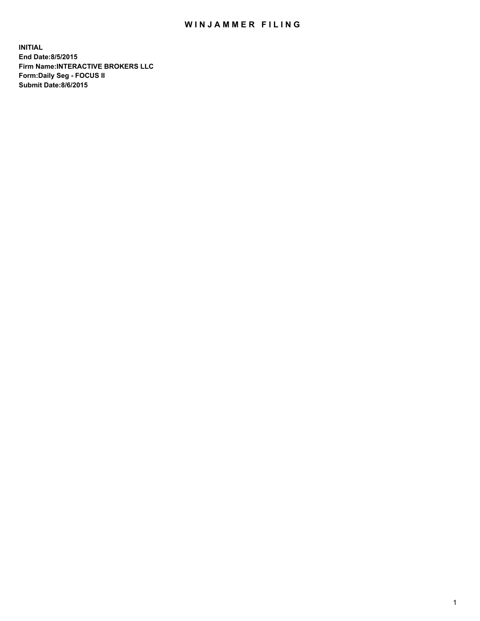## WIN JAMMER FILING

**INITIAL End Date:8/5/2015 Firm Name:INTERACTIVE BROKERS LLC Form:Daily Seg - FOCUS II Submit Date:8/6/2015**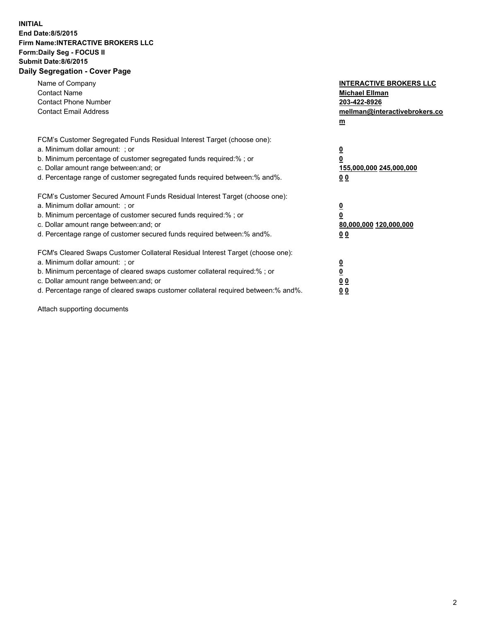## **INITIAL End Date:8/5/2015 Firm Name:INTERACTIVE BROKERS LLC Form:Daily Seg - FOCUS II Submit Date:8/6/2015 Daily Segregation - Cover Page**

| Name of Company<br><b>Contact Name</b><br><b>Contact Phone Number</b><br><b>Contact Email Address</b>                                                                                                                                                                                                                          | <b>INTERACTIVE BROKERS LLC</b><br><b>Michael Ellman</b><br>203-422-8926<br>mellman@interactivebrokers.co<br>$\mathbf{m}$ |
|--------------------------------------------------------------------------------------------------------------------------------------------------------------------------------------------------------------------------------------------------------------------------------------------------------------------------------|--------------------------------------------------------------------------------------------------------------------------|
| FCM's Customer Segregated Funds Residual Interest Target (choose one):<br>a. Minimum dollar amount: ; or<br>b. Minimum percentage of customer segregated funds required:% ; or<br>c. Dollar amount range between: and; or<br>d. Percentage range of customer segregated funds required between:% and%.                         | $\overline{\mathbf{0}}$<br>0<br>155,000,000 245,000,000<br>0 <sub>0</sub>                                                |
| FCM's Customer Secured Amount Funds Residual Interest Target (choose one):<br>a. Minimum dollar amount: ; or<br>b. Minimum percentage of customer secured funds required:%; or<br>c. Dollar amount range between: and; or<br>d. Percentage range of customer secured funds required between:% and%.                            | $\overline{\mathbf{0}}$<br>0<br>80,000,000 120,000,000<br>0 <sub>0</sub>                                                 |
| FCM's Cleared Swaps Customer Collateral Residual Interest Target (choose one):<br>a. Minimum dollar amount: ; or<br>b. Minimum percentage of cleared swaps customer collateral required:% ; or<br>c. Dollar amount range between: and; or<br>d. Percentage range of cleared swaps customer collateral required between:% and%. | $\overline{\mathbf{0}}$<br>$\overline{\mathbf{0}}$<br>0 <sub>0</sub><br>0 <sup>0</sup>                                   |

Attach supporting documents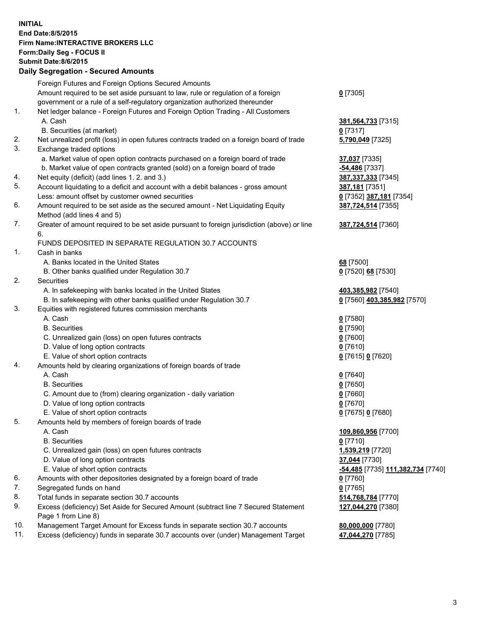## **INITIAL End Date:8/5/2015 Firm Name:INTERACTIVE BROKERS LLC Form:Daily Seg - FOCUS II Submit Date:8/6/2015 Daily Segregation - Secured Amounts**

|     | Foreign Futures and Foreign Options Secured Amounts                                                        |                                  |
|-----|------------------------------------------------------------------------------------------------------------|----------------------------------|
|     | Amount required to be set aside pursuant to law, rule or regulation of a foreign                           | $0$ [7305]                       |
|     | government or a rule of a self-regulatory organization authorized thereunder                               |                                  |
| 1.  | Net ledger balance - Foreign Futures and Foreign Option Trading - All Customers                            |                                  |
|     | A. Cash                                                                                                    | 381,564,733 [7315]               |
|     | B. Securities (at market)                                                                                  | 0 [7317]                         |
| 2.  | Net unrealized profit (loss) in open futures contracts traded on a foreign board of trade                  | 5,790,049 [7325]                 |
| 3.  | Exchange traded options                                                                                    |                                  |
|     | a. Market value of open option contracts purchased on a foreign board of trade                             | 37,037 [7335]                    |
|     | b. Market value of open contracts granted (sold) on a foreign board of trade                               | -54,486 <sup>[7337]</sup>        |
| 4.  | Net equity (deficit) (add lines 1.2. and 3.)                                                               | 387,337,333 [7345]               |
| 5.  | Account liquidating to a deficit and account with a debit balances - gross amount                          | 387,181 [7351]                   |
|     | Less: amount offset by customer owned securities                                                           | 0 [7352] 387,181 [7354]          |
| 6.  | Amount required to be set aside as the secured amount - Net Liquidating Equity                             | 387,724,514 [7355]               |
|     | Method (add lines 4 and 5)                                                                                 |                                  |
| 7.  | Greater of amount required to be set aside pursuant to foreign jurisdiction (above) or line                | 387,724,514 [7360]               |
|     | 6.                                                                                                         |                                  |
|     | FUNDS DEPOSITED IN SEPARATE REGULATION 30.7 ACCOUNTS                                                       |                                  |
| 1.  | Cash in banks                                                                                              |                                  |
|     | A. Banks located in the United States                                                                      | 68 [7500]                        |
|     | B. Other banks qualified under Regulation 30.7                                                             | 0 [7520] 68 [7530]               |
| 2.  | Securities                                                                                                 |                                  |
|     | A. In safekeeping with banks located in the United States                                                  | 403,385,982 [7540]               |
|     | B. In safekeeping with other banks qualified under Regulation 30.7                                         | 0 [7560] 403,385,982 [7570]      |
| 3.  | Equities with registered futures commission merchants                                                      |                                  |
|     | A. Cash                                                                                                    | $0$ [7580]                       |
|     | <b>B.</b> Securities                                                                                       | $0$ [7590]                       |
|     | C. Unrealized gain (loss) on open futures contracts                                                        | $0$ [7600]                       |
|     | D. Value of long option contracts                                                                          | $0$ [7610]                       |
|     | E. Value of short option contracts                                                                         | 0 [7615] 0 [7620]                |
| 4.  | Amounts held by clearing organizations of foreign boards of trade                                          |                                  |
|     | A. Cash                                                                                                    | $0$ [7640]                       |
|     | <b>B.</b> Securities                                                                                       | $0$ [7650]                       |
|     | C. Amount due to (from) clearing organization - daily variation                                            | $0$ [7660]                       |
|     | D. Value of long option contracts                                                                          | $0$ [7670]                       |
|     | E. Value of short option contracts                                                                         | 0 [7675] 0 [7680]                |
| 5.  | Amounts held by members of foreign boards of trade                                                         |                                  |
|     | A. Cash                                                                                                    | 109,860,956 [7700]               |
|     | <b>B.</b> Securities                                                                                       | $0$ [7710]                       |
|     | C. Unrealized gain (loss) on open futures contracts                                                        | 1,539,219 [7720]                 |
|     | D. Value of long option contracts                                                                          | 37,044 [7730]                    |
|     | E. Value of short option contracts                                                                         | 54,485 [7735] 111,382,734 [7740] |
| 6.  | Amounts with other depositories designated by a foreign board of trade                                     | $0$ [7760]                       |
| 7.  | Segregated funds on hand                                                                                   | $0$ [7765]                       |
| 8.  | Total funds in separate section 30.7 accounts                                                              | 514,768,784 [7770]               |
| 9.  | Excess (deficiency) Set Aside for Secured Amount (subtract line 7 Secured Statement<br>Page 1 from Line 8) | 127,044,270 [7380]               |
| 10. | Management Target Amount for Excess funds in separate section 30.7 accounts                                | 80,000,000 [7780]                |
| 11. | Excess (deficiency) funds in separate 30.7 accounts over (under) Management Target                         | 47,044,270 [7785]                |
|     |                                                                                                            |                                  |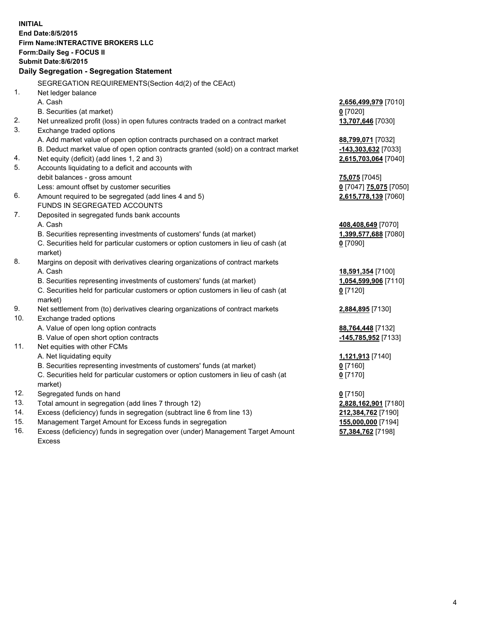**INITIAL End Date:8/5/2015 Firm Name:INTERACTIVE BROKERS LLC Form:Daily Seg - FOCUS II Submit Date:8/6/2015 Daily Segregation - Segregation Statement** SEGREGATION REQUIREMENTS(Section 4d(2) of the CEAct) 1. Net ledger balance A. Cash **2,656,499,979** [7010] B. Securities (at market) **0** [7020] 2. Net unrealized profit (loss) in open futures contracts traded on a contract market **13,707,646** [7030] 3. Exchange traded options A. Add market value of open option contracts purchased on a contract market **88,799,071** [7032] B. Deduct market value of open option contracts granted (sold) on a contract market **-143,303,632** [7033] 4. Net equity (deficit) (add lines 1, 2 and 3) **2,615,703,064** [7040] 5. Accounts liquidating to a deficit and accounts with debit balances - gross amount **75,075** [7045] Less: amount offset by customer securities **0** [7047] **75,075** [7050] 6. Amount required to be segregated (add lines 4 and 5) **2,615,778,139** [7060] FUNDS IN SEGREGATED ACCOUNTS 7. Deposited in segregated funds bank accounts A. Cash **408,408,649** [7070] B. Securities representing investments of customers' funds (at market) **1,399,577,688** [7080] C. Securities held for particular customers or option customers in lieu of cash (at market) **0** [7090] 8. Margins on deposit with derivatives clearing organizations of contract markets A. Cash **18,591,354** [7100] B. Securities representing investments of customers' funds (at market) **1,054,599,906** [7110] C. Securities held for particular customers or option customers in lieu of cash (at market) **0** [7120] 9. Net settlement from (to) derivatives clearing organizations of contract markets **2,884,895** [7130] 10. Exchange traded options A. Value of open long option contracts **88,764,448** [7132] B. Value of open short option contracts **-145,785,952** [7133] 11. Net equities with other FCMs A. Net liquidating equity **1,121,913** [7140] B. Securities representing investments of customers' funds (at market) **0** [7160] C. Securities held for particular customers or option customers in lieu of cash (at market) **0** [7170] 12. Segregated funds on hand **0** [7150] 13. Total amount in segregation (add lines 7 through 12) **2,828,162,901** [7180] 14. Excess (deficiency) funds in segregation (subtract line 6 from line 13) **212,384,762** [7190] 15. Management Target Amount for Excess funds in segregation **155,000,000** [7194]

16. Excess (deficiency) funds in segregation over (under) Management Target Amount Excess

**57,384,762** [7198]